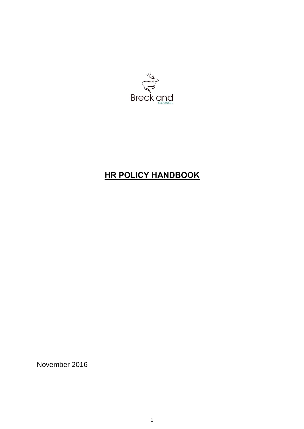

# **HR POLICY HANDBOOK**

November 2016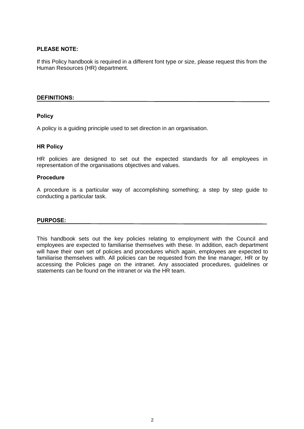## **PLEASE NOTE:**

If this Policy handbook is required in a different font type or size, please request this from the Human Resources (HR) department.

### **DEFINITIONS:**

## **Policy**

A policy is a guiding principle used to set direction in an organisation.

## **HR Policy**

HR policies are designed to set out the expected standards for all employees in representation of the organisations objectives and values.

## **Procedure**

A procedure is a particular way of accomplishing something; a step by step guide to conducting a particular task.

#### **PURPOSE:**

This handbook sets out the key policies relating to employment with the Council and employees are expected to familiarise themselves with these. In addition, each department will have their own set of policies and procedures which again, employees are expected to familiarise themselves with. All policies can be requested from the line manager, HR or by accessing the Policies page on the intranet. Any associated procedures, guidelines or statements can be found on the intranet or via the HR team.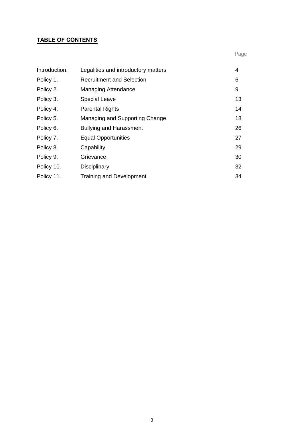## **TABLE OF CONTENTS**

| Introduction. | Legalities and introductory matters | 4  |
|---------------|-------------------------------------|----|
| Policy 1.     | <b>Recruitment and Selection</b>    | 6  |
| Policy 2.     | <b>Managing Attendance</b>          | 9  |
| Policy 3.     | <b>Special Leave</b>                | 13 |
| Policy 4.     | <b>Parental Rights</b>              | 14 |
| Policy 5.     | Managing and Supporting Change      | 18 |
| Policy 6.     | <b>Bullying and Harassment</b>      | 26 |
| Policy 7.     | <b>Equal Opportunities</b>          | 27 |
| Policy 8.     | Capability                          | 29 |
| Policy 9.     | Grievance                           | 30 |
| Policy 10.    | Disciplinary                        | 32 |
| Policy 11.    | <b>Training and Development</b>     | 34 |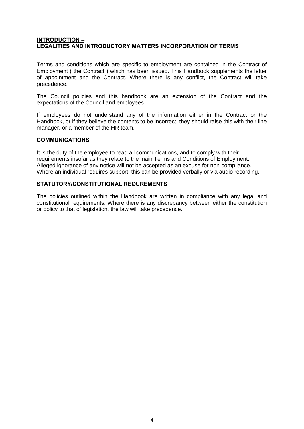## **INTRODUCTION – LEGALITIES AND INTRODUCTORY MATTERS INCORPORATION OF TERMS**

Terms and conditions which are specific to employment are contained in the Contract of Employment ("the Contract") which has been issued. This Handbook supplements the letter of appointment and the Contract. Where there is any conflict, the Contract will take precedence.

The Council policies and this handbook are an extension of the Contract and the expectations of the Council and employees.

If employees do not understand any of the information either in the Contract or the Handbook, or if they believe the contents to be incorrect, they should raise this with their line manager, or a member of the HR team.

## **COMMUNICATIONS**

It is the duty of the employee to read all communications, and to comply with their requirements insofar as they relate to the main Terms and Conditions of Employment. Alleged ignorance of any notice will not be accepted as an excuse for non-compliance. Where an individual requires support, this can be provided verbally or via audio recording.

## **STATUTORY/CONSTITUTIONAL REQUREMENTS**

The policies outlined within the Handbook are written in compliance with any legal and constitutional requirements. Where there is any discrepancy between either the constitution or policy to that of legislation, the law will take precedence.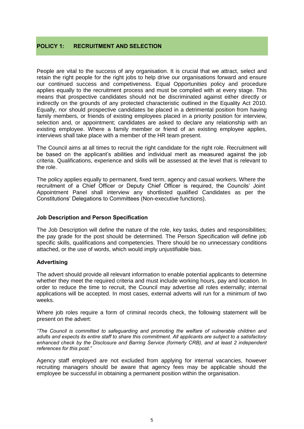## **POLICY 1: RECRUITMENT AND SELECTION**

People are vital to the success of any organisation. It is crucial that we attract, select and retain the right people for the right jobs to help drive our organisations forward and ensure our continued success and competiveness. Equal Opportunities policy and procedure applies equally to the recruitment process and must be complied with at every stage. This means that prospective candidates should not be discriminated against either directly or indirectly on the grounds of any protected characteristic outlined in the Equality Act 2010. Equally, nor should prospective candidates be placed in a detrimental position from having family members, or friends of existing employees placed in a priority position for interview, selection and, or appointment; candidates are asked to declare any relationship with an existing employee. Where a family member or friend of an existing employee applies, interviews shall take place with a member of the HR team present.

The Council aims at all times to recruit the right candidate for the right role. Recruitment will be based on the applicant's abilities and individual merit as measured against the job criteria. Qualifications, experience and skills will be assessed at the level that is relevant to the role.

The policy applies equally to permanent, fixed term, agency and casual workers. Where the recruitment of a Chief Officer or Deputy Chief Officer is required, the Councils' Joint Appointment Panel shall interview any shortlisted qualified Candidates as per the Constitutions' Delegations to Committees (Non-executive functions).

### **Job Description and Person Specification**

The Job Description will define the nature of the role, key tasks, duties and responsibilities; the pay grade for the post should be determined. The Person Specification will define job specific skills, qualifications and competencies. There should be no unnecessary conditions attached, or the use of words, which would imply unjustifiable bias.

#### **Advertising**

The advert should provide all relevant information to enable potential applicants to determine whether they meet the required criteria and must include working hours, pay and location. In order to reduce the time to recruit, the Council may advertise all roles externally; internal applications will be accepted. In most cases, external adverts will run for a minimum of two weeks.

Where job roles require a form of criminal records check, the following statement will be present on the advert:

*"The Council is committed to safeguarding and promoting the welfare of vulnerable children and adults and expects its entire staff to share this commitment. All applicants are subject to a satisfactory enhanced check by the Disclosure and Barring Service (formerly CRB), and at least 2 independent references for this post."*

Agency staff employed are not excluded from applying for internal vacancies, however recruiting managers should be aware that agency fees may be applicable should the employee be successful in obtaining a permanent position within the organisation.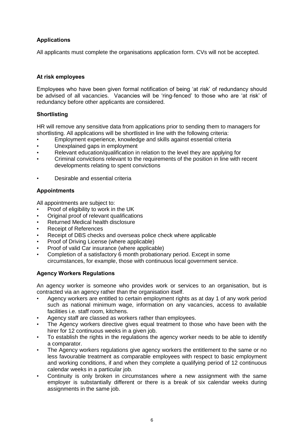## **Applications**

All applicants must complete the organisations application form. CVs will not be accepted.

## **At risk employees**

Employees who have been given formal notification of being 'at risk' of redundancy should be advised of all vacancies. Vacancies will be 'ring-fenced' to those who are 'at risk' of redundancy before other applicants are considered.

## **Shortlisting**

HR will remove any sensitive data from applications prior to sending them to managers for shortlisting. All applications will be shortlisted in line with the following criteria:

- Employment experience, knowledge and skills against essential criteria
- Unexplained gaps in employment
- Relevant education/qualification in relation to the level they are applying for
- Criminal convictions relevant to the requirements of the position in line with recent developments relating to spent convictions
- Desirable and essential criteria

## **Appointments**

All appointments are subject to:

- Proof of eligibility to work in the UK
- Original proof of relevant qualifications
- Returned Medical health disclosure
- Receipt of References
- Receipt of DBS checks and overseas police check where applicable
- Proof of Driving License (where applicable)
- Proof of valid Car insurance (where applicable)
- Completion of a satisfactory 6 month probationary period. Except in some circumstances, for example, those with continuous local government service.

## **Agency Workers Regulations**

An agency worker is someone who provides work or services to an organisation, but is contracted via an agency rather than the organisation itself.

- Agency workers are entitled to certain employment rights as at day 1 of any work period such as national minimum wage, information on any vacancies, access to available facilities i.e. staff room, kitchens.
- Agency staff are classed as workers rather than employees.
- The Agency workers directive gives equal treatment to those who have been with the hirer for 12 continuous weeks in a given job.
- To establish the rights in the regulations the agency worker needs to be able to identify a comparator.
- The Agency workers regulations give agency workers the entitlement to the same or no less favourable treatment as comparable employees with respect to basic employment and working conditions, if and when they complete a qualifying period of 12 continuous calendar weeks in a particular job.
- Continuity is only broken in circumstances where a new assignment with the same employer is substantially different or there is a break of six calendar weeks during assignments in the same job.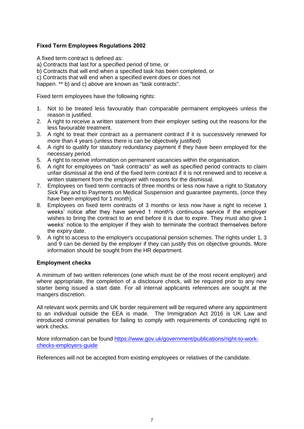## **Fixed Term Employees Regulations 2002**

A fixed term contract is defined as:

a) Contracts that last for a specified period of time, or

b) Contracts that will end when a specified task has been completed, or

c) Contracts that will end when a specified event does or does not

happen. \*\* b) and c) above are known as "task contracts".

Fixed term employees have the following rights:

- 1. Not to be treated less favourably than comparable permanent employees unless the reason is justified.
- 2. A right to receive a written statement from their employer setting out the reasons for the less favourable treatment.
- 3. A right to treat their contract as a permanent contract if it is successively renewed for more than 4 years (unless there is can be objectively justified)
- 4. A right to qualify for statutory redundancy payment if they have been employed for the necessary period.
- 5. A right to receive information on permanent vacancies within the organisation.
- 6. A right for employees on "task contracts" as well as specified period contracts to claim unfair dismissal at the end of the fixed term contract if it is not renewed and to receive a written statement from the employer with reasons for the dismissal.
- 7. Employees on fixed term contracts of three months or less now have a right to Statutory Sick Pay and to Payments on Medical Suspension and guarantee payments, (once they have been employed for 1 month).
- 8. Employees on fixed term contracts of 3 months or less now have a right to receive 1 weeks' notice after they have served 1 month's continuous service if the employer wishes to bring the contract to an end before it is due to expire. They must also give 1 weeks' notice to the employer if they wish to terminate the contract themselves before the expiry date.
- 9. A right to access to the employer's occupational pension schemes. The rights under 1, 3 and 9 can be denied by the employer if they can justify this on objective grounds. More information should be sought from the HR department.

## **Employment checks**

A minimum of two written references (one which must be of the most recent employer) and where appropriate, the completion of a disclosure check, will be required prior to any new starter being issued a start date. For all internal applicants references are sought at the mangers discretion.

All relevant work permits and UK border requirement will be required where any appointment to an individual outside the EEA is made. The Immigration Act 2016 is UK Law and introduced criminal penalties for failing to comply with requirements of conducting right to work checks.

More information can be found https://www.gov.uk/government/publications/right-to-workchecks-employers-guide

References will not be accepted from existing employees or relatives of the candidate.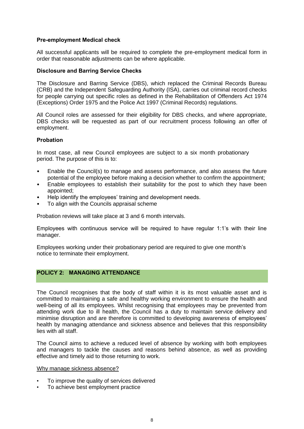## **Pre-employment Medical check**

All successful applicants will be required to complete the pre-employment medical form in order that reasonable adjustments can be where applicable.

## **Disclosure and Barring Service Checks**

The Disclosure and Barring Service (DBS), which replaced the Criminal Records Bureau (CRB) and the Independent Safeguarding Authority (ISA), carries out criminal record checks for people carrying out specific roles as defined in the Rehabilitation of Offenders Act 1974 (Exceptions) Order 1975 and the Police Act 1997 (Criminal Records) regulations.

All Council roles are assessed for their eligibility for DBS checks, and where appropriate, DBS checks will be requested as part of our recruitment process following an offer of employment.

## **Probation**

In most case, all new Council employees are subject to a six month probationary period. The purpose of this is to:

- Enable the Council(s) to manage and assess performance, and also assess the future potential of the employee before making a decision whether to confirm the appointment;
- Enable employees to establish their suitability for the post to which they have been appointed;
- Help identify the employees' training and development needs.
- To align with the Councils appraisal scheme

Probation reviews will take place at 3 and 6 month intervals.

Employees with continuous service will be required to have regular 1:1's with their line manager.

Employees working under their probationary period are required to give one month's notice to terminate their employment.

## **POLICY 2: MANAGING ATTENDANCE**

The Council recognises that the body of staff within it is its most valuable asset and is committed to maintaining a safe and healthy working environment to ensure the health and well-being of all its employees. Whilst recognising that employees may be prevented from attending work due to ill health, the Council has a duty to maintain service delivery and minimise disruption and are therefore is committed to developing awareness of employees' health by managing attendance and sickness absence and believes that this responsibility lies with all staff.

The Council aims to achieve a reduced level of absence by working with both employees and managers to tackle the causes and reasons behind absence, as well as providing effective and timely aid to those returning to work.

#### Why manage sickness absence?

- To improve the quality of services delivered
- To achieve best employment practice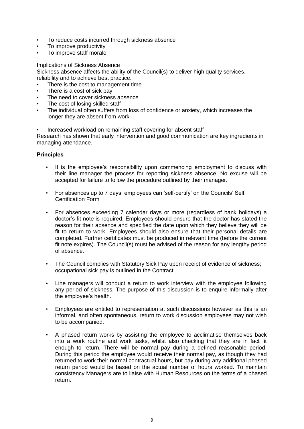- To reduce costs incurred through sickness absence
- To improve productivity
- To improve staff morale

#### Implications of Sickness Absence

Sickness absence affects the ability of the Council(s) to deliver high quality services, reliability and to achieve best practice.

- There is the cost to management time
- There is a cost of sick pay
- The need to cover sickness absence
- The cost of losing skilled staff
- The individual often suffers from loss of confidence or anxiety, which increases the longer they are absent from work
- Increased workload on remaining staff covering for absent staff

Research has shown that early intervention and good communication are key ingredients in managing attendance.

- It is the employee's responsibility upon commencing employment to discuss with their line manager the process for reporting sickness absence. No excuse will be accepted for failure to follow the procedure outlined by their manager.
- For absences up to 7 days, employees can 'self-certify' on the Councils' Self Certification Form
- For absences exceeding 7 calendar days or more (regardless of bank holidays) a doctor's fit note is required. Employees should ensure that the doctor has stated the reason for their absence and specified the date upon which they believe they will be fit to return to work. Employees should also ensure that their personal details are completed. Further certificates must be produced in relevant time (before the current fit note expires). The Council(s) must be advised of the reason for any lengthy period of absence.
- The Council complies with Statutory Sick Pay upon receipt of evidence of sickness; occupational sick pay is outlined in the Contract.
- Line managers will conduct a return to work interview with the employee following any period of sickness. The purpose of this discussion is to enquire informally after the employee's health.
- Employees are entitled to representation at such discussions however as this is an informal, and often spontaneous, return to work discussion employees may not wish to be accompanied.
- A phased return works by assisting the employee to acclimatise themselves back into a work routine and work tasks, whilst also checking that they are in fact fit enough to return. There will be normal pay during a defined reasonable period. During this period the employee would receive their normal pay, as though they had returned to work their normal contractual hours, but pay during any additional phased return period would be based on the actual number of hours worked. To maintain consistency Managers are to liaise with Human Resources on the terms of a phased return.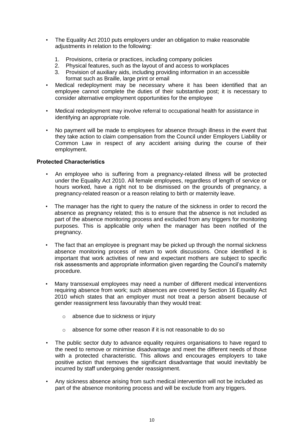- The Equality Act 2010 puts employers under an obligation to make reasonable adjustments in relation to the following:
	- 1. Provisions, criteria or practices, including company policies
	- 2. Physical features, such as the layout of and access to workplaces
	- 3. Provision of auxiliary aids, including providing information in an accessible format such as Braille, large print or email
- Medical redeployment may be necessary where it has been identified that an employee cannot complete the duties of their substantive post; it is necessary to consider alternative employment opportunities for the employee
- Medical redeployment may involve referral to occupational health for assistance in identifying an appropriate role.
- No payment will be made to employees for absence through illness in the event that they take action to claim compensation from the Council under Employers Liability or Common Law in respect of any accident arising during the course of their employment.

## **Protected Characteristics**

- An employee who is suffering from a pregnancy-related illness will be protected under the Equality Act 2010. All female employees, regardless of length of service or hours worked, have a right not to be dismissed on the grounds of pregnancy, a pregnancy-related reason or a reason relating to birth or maternity leave.
- The manager has the right to query the nature of the sickness in order to record the absence as pregnancy related; this is to ensure that the absence is not included as part of the absence monitoring process and excluded from any triggers for monitoring purposes. This is applicable only when the manager has been notified of the pregnancy.
- The fact that an employee is pregnant may be picked up through the normal sickness absence monitoring process of return to work discussions. Once identified it is important that work activities of new and expectant mothers are subject to specific risk assessments and appropriate information given regarding the Council's maternity procedure.
- Many transsexual employees may need a number of different medical interventions requiring absence from work; such absences are covered by Section 16 Equality Act 2010 which states that an employer must not treat a person absent because of gender reassignment less favourably than they would treat:
	- o absence due to sickness or injury
	- o absence for some other reason if it is not reasonable to do so
- The public sector duty to advance equality requires organisations to have regard to the need to remove or minimise disadvantage and meet the different needs of those with a protected characteristic. This allows and encourages employers to take positive action that removes the significant disadvantage that would inevitably be incurred by staff undergoing gender reassignment.
- Any sickness absence arising from such medical intervention will not be included as part of the absence monitoring process and will be exclude from any triggers.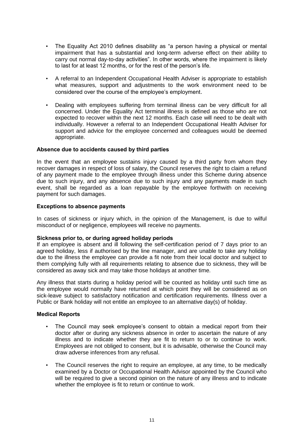- The Equality Act 2010 defines disability as "a person having a physical or mental impairment that has a substantial and long-term adverse effect on their ability to carry out normal day-to-day activities". In other words, where the impairment is likely to last for at least 12 months, or for the rest of the person's life.
- A referral to an Independent Occupational Health Adviser is appropriate to establish what measures, support and adjustments to the work environment need to be considered over the course of the employee's employment.
- Dealing with employees suffering from terminal illness can be very difficult for all concerned. Under the Equality Act terminal illness is defined as those who are not expected to recover within the next 12 months. Each case will need to be dealt with individually. However a referral to an Independent Occupational Health Adviser for support and advice for the employee concerned and colleagues would be deemed appropriate.

## **Absence due to accidents caused by third parties**

In the event that an employee sustains injury caused by a third party from whom they recover damages in respect of loss of salary, the Council reserves the right to claim a refund of any payment made to the employee through illness under this Scheme during absence due to such injury, and any absence due to such injury and any payments made in such event, shall be regarded as a loan repayable by the employee forthwith on receiving payment for such damages.

#### **Exceptions to absence payments**

In cases of sickness or injury which, in the opinion of the Management, is due to wilful misconduct of or negligence, employees will receive no payments.

#### **Sickness prior to, or during agreed holiday periods**

If an employee is absent and ill following the self-certification period of 7 days prior to an agreed holiday, less if authorised by the line manager, and are unable to take any holiday due to the illness the employee can provide a fit note from their local doctor and subject to them complying fully with all requirements relating to absence due to sickness, they will be considered as away sick and may take those holidays at another time.

Any illness that starts during a holiday period will be counted as holiday until such time as the employee would normally have returned at which point they will be considered as on sick-leave subject to satisfactory notification and certification requirements. Illness over a Public or Bank holiday will not entitle an employee to an alternative day(s) of holiday.

#### **Medical Reports**

- The Council may seek employee's consent to obtain a medical report from their doctor after or during any sickness absence in order to ascertain the nature of any illness and to indicate whether they are fit to return to or to continue to work. Employees are not obliged to consent, but it is advisable, otherwise the Council may draw adverse inferences from any refusal.
- The Council reserves the right to require an employee, at any time, to be medically examined by a Doctor or Occupational Health Advisor appointed by the Council who will be required to give a second opinion on the nature of any illness and to indicate whether the employee is fit to return or continue to work.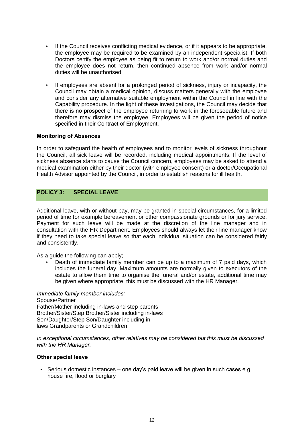- If the Council receives conflicting medical evidence, or if it appears to be appropriate, the employee may be required to be examined by an independent specialist. If both Doctors certify the employee as being fit to return to work and/or normal duties and the employee does not return, then continued absence from work and/or normal duties will be unauthorised.
- If employees are absent for a prolonged period of sickness, injury or incapacity, the Council may obtain a medical opinion, discuss matters generally with the employee and consider any alternative suitable employment within the Council in line with the Capability procedure. In the light of these investigations, the Council may decide that there is no prospect of the employee returning to work in the foreseeable future and therefore may dismiss the employee. Employees will be given the period of notice specified in their Contract of Employment.

## **Monitoring of Absences**

In order to safeguard the health of employees and to monitor levels of sickness throughout the Council, all sick leave will be recorded, including medical appointments. If the level of sickness absence starts to cause the Council concern, employees may be asked to attend a medical examination either by their doctor (with employee consent) or a doctor/Occupational Health Advisor appointed by the Council, in order to establish reasons for ill health.

## **POLICY 3: SPECIAL LEAVE**

Additional leave, with or without pay, may be granted in special circumstances, for a limited period of time for example bereavement or other compassionate grounds or for jury service. Payment for such leave will be made at the discretion of the line manager and in consultation with the HR Department. Employees should always let their line manager know if they need to take special leave so that each individual situation can be considered fairly and consistently.

As a guide the following can apply;

• Death of immediate family member can be up to a maximum of 7 paid days, which includes the funeral day. Maximum amounts are normally given to executors of the estate to allow them time to organise the funeral and/or estate, additional time may be given where appropriate; this must be discussed with the HR Manager.

*Immediate family member includes:* Spouse/Partner Father/Mother including in-laws and step parents Brother/Sister/Step Brother/Sister including in-laws Son/Daughter/Step Son/Daughter including inlaws Grandparents or Grandchildren

*In exceptional circumstances, other relatives may be considered but this must be discussed with the HR Manager.*

#### **Other special leave**

• Serious domestic instances – one day's paid leave will be given in such cases e.g. house fire, flood or burglary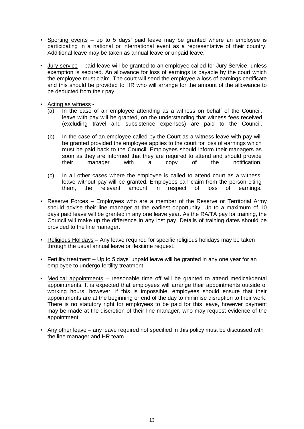- Sporting events up to 5 days' paid leave may be granted where an employee is participating in a national or international event as a representative of their country. Additional leave may be taken as annual leave or unpaid leave.
- Jury service paid leave will be granted to an employee called for Jury Service, unless exemption is secured. An allowance for loss of earnings is payable by the court which the employee must claim. The court will send the employee a loss of earnings certificate and this should be provided to HR who will arrange for the amount of the allowance to be deducted from their pay.
- Acting as witness
	- (a) In the case of an employee attending as a witness on behalf of the Council, leave with pay will be granted, on the understanding that witness fees received (excluding travel and subsistence expenses) are paid to the Council.
	- (b) In the case of an employee called by the Court as a witness leave with pay will be granted provided the employee applies to the court for loss of earnings which must be paid back to the Council. Employees should inform their managers as soon as they are informed that they are required to attend and should provide their manager with a copy of the notification.
	- (c) In all other cases where the employee is called to attend court as a witness, leave without pay will be granted. Employees can claim from the person citing them, the relevant amount in respect of loss of earnings.
- Reserve Forces Employees who are a member of the Reserve or Territorial Army should advise their line manager at the earliest opportunity. Up to a maximum of 10 days paid leave will be granted in any one leave year. As the RA/TA pay for training, the Council will make up the difference in any lost pay. Details of training dates should be provided to the line manager.
- Religious Holidays Any leave required for specific religious holidays may be taken through the usual annual leave or flexitime request.
- Fertility treatment Up to 5 days' unpaid leave will be granted in any one year for an employee to undergo fertility treatment.
- Medical appointments reasonable time off will be granted to attend medical/dental appointments. It is expected that employees will arrange their appointments outside of working hours, however, if this is impossible, employees should ensure that their appointments are at the beginning or end of the day to minimise disruption to their work. There is no statutory right for employees to be paid for this leave, however payment may be made at the discretion of their line manager, who may request evidence of the appointment.
- Any other leave any leave required not specified in this policy must be discussed with the line manager and HR team.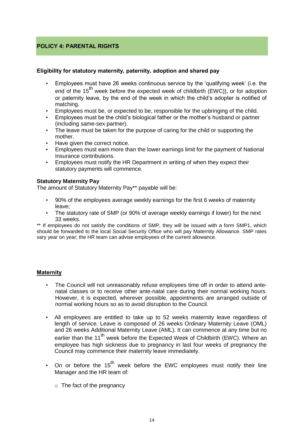## **POLICY 4: PARENTAL RIGHTS**

## **Eligibility for statutory maternity, paternity, adoption and shared pay**

- Employees must have 26 weeks continuous service by the 'qualifying week' (i.e. the end of the  $15^{th}$  week before the expected week of childbirth (EWC)), or for adoption or paternity leave, by the end of the week in which the child's adopter is notified of matching.
- Employees must be, or expected to be, responsible for the upbringing of the child.
- Employees must be the child's biological father or the mother's husband or partner (including same-sex partner).
- The leave must be taken for the purpose of caring for the child or supporting the mother.
- Have given the correct notice.
- Employees must earn more than the lower earnings limit for the payment of National Insurance contributions.
- Employees must notify the HR Department in writing of when they expect their statutory payments will commence.

## **Statutory Maternity Pay**

The amount of Statutory Maternity Pay\*\* payable will be:

- 90% of the employees average weekly earnings for the first 6 weeks of maternity leave;
- The statutory rate of SMP (or 90% of average weekly earnings if lower) for the next 33 weeks.

\*\* If employees do not satisfy the conditions of SMP, they will be issued with a form SMP1, which should be forwarded to the local Social Security Office who will pay Maternity Allowance. SMP rates vary year on year; the HR team can advise employees of the current allowance.

## **Maternity**

- The Council will not unreasonably refuse employees time off in order to attend antenatal classes or to receive other ante-natal care during their normal working hours. However, it is expected, wherever possible, appointments are arranged outside of normal working hours so as to avoid disruption to the Council.
- All employees are entitled to take up to 52 weeks maternity leave regardless of length of service. Leave is composed of 26 weeks Ordinary Maternity Leave (OML) and 26 weeks Additional Maternity Leave (AML). It can commence at any time but no earlier than the 11<sup>th</sup> week before the Expected Week of Childbirth (EWC). Where an employee has high sickness due to pregnancy in last four weeks of pregnancy the Council may commence their maternity leave immediately.
- On or before the 15<sup>th</sup> week before the EWC employees must notify their line Manager and the HR team of:
	- $\circ$  The fact of the pregnancy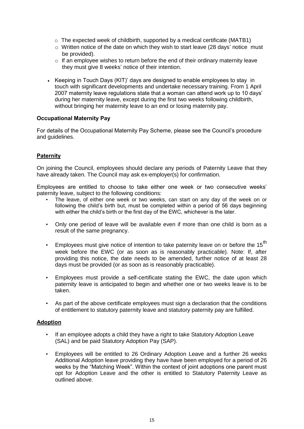- $\circ$  The expected week of childbirth, supported by a medical certificate (MATB1)
- $\circ$  Written notice of the date on which they wish to start leave (28 days' notice must be provided).
- $\circ$  If an employee wishes to return before the end of their ordinary maternity leave they must give 8 weeks' notice of their intention.
- Keeping in Touch Days (KIT)' days are designed to enable employees to stay in touch with significant developments and undertake necessary training. From 1 April 2007 maternity leave regulations state that a woman can attend work up to 10 days' during her maternity leave, except during the first two weeks following childbirth, without bringing her maternity leave to an end or losing maternity pay.

## **Occupational Maternity Pay**

For details of the Occupational Maternity Pay Scheme, please see the Council's procedure and guidelines.

## **Paternity**

On joining the Council, employees should declare any periods of Paternity Leave that they have already taken. The Council may ask ex-employer(s) for confirmation.

Employees are entitled to choose to take either one week or two consecutive weeks' paternity leave, subject to the following conditions:

- The leave, of either one week or two weeks, can start on any day of the week on or following the child's birth but, must be completed within a period of 56 days beginning with either the child's birth or the first day of the EWC, whichever is the later.
- Only one period of leave will be available even if more than one child is born as a result of the same pregnancy.
- Employees must give notice of intention to take paternity leave on or before the 15<sup>th</sup> week before the EWC (or as soon as is reasonably practicable). Note: If, after providing this notice, the date needs to be amended, further notice of at least 28 days must be provided (or as soon as is reasonably practicable).
- Employees must provide a self-certificate stating the EWC, the date upon which paternity leave is anticipated to begin and whether one or two weeks leave is to be taken.
- As part of the above certificate employees must sign a declaration that the conditions of entitlement to statutory paternity leave and statutory paternity pay are fulfilled.

## **Adoption**

- If an employee adopts a child they have a right to take Statutory Adoption Leave (SAL) and be paid Statutory Adoption Pay (SAP).
- Employees will be entitled to 26 Ordinary Adoption Leave and a further 26 weeks Additional Adoption leave providing they have have been employed for a period of 26 weeks by the "Matching Week". Within the context of joint adoptions one parent must opt for Adoption Leave and the other is entitled to Statutory Paternity Leave as outlined above.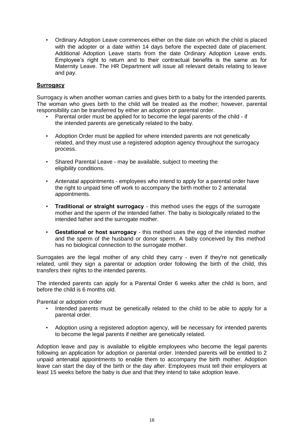• Ordinary Adoption Leave commences either on the date on which the child is placed with the adopter or a date within 14 days before the expected date of placement. Additional Adoption Leave starts from the date Ordinary Adoption Leave ends. Employee's right to return and to their contractual benefits is the same as for Maternity Leave. The HR Department will issue all relevant details relating to leave and pay.

## **Surrogacy**

Surrogacy is when another woman carries and gives birth to a baby for the intended parents. The woman who gives birth to the child will be treated as the mother; however, parental responsibility can be transferred by either an adoption or parental order.

- Parental order must be applied for to become the legal parents of the child if the intended parents are genetically related to the baby.
- Adoption Order must be applied for where intended parents are not genetically related, and they must use a registered adoption agency throughout the surrogacy process.
- Shared Parental Leave may be available, subject to meeting the eligibility conditions.
- Antenatal appointments employees who intend to apply for a parental order have the right to unpaid time off work to accompany the birth mother to 2 antenatal appointments.
- **Traditional or straight surrogacy**  this method uses the eggs of the surrogate mother and the sperm of the intended father. The baby is biologically related to the intended father and the surrogate mother.
- **Gestational or host surrogacy**  this method uses the egg of the intended mother and the sperm of the husband or donor sperm. A baby conceived by this method has no biological connection to the surrogate mother.

Surrogates are the legal mother of any child they carry - even if they're not genetically related, until they sign a parental or adoption order following the birth of the child, this transfers their rights to the intended parents.

The intended parents can apply for a Parental Order 6 weeks after the child is born, and before the child is 6 months old.

Parental or adoption order

- Intended parents must be genetically related to the child to be able to apply for a parental order.
- Adoption using a registered adoption agency, will be necessary for intended parents to become the legal parents if neither are genetically related.

Adoption leave and pay is available to eligible employees who become the legal parents following an application for adoption or parental order. Intended parents will be entitled to 2 unpaid antenatal appointments to enable them to accompany the birth mother. Adoption leave can start the day of the birth or the day after. Employees must tell their employers at least 15 weeks before the baby is due and that they intend to take adoption leave.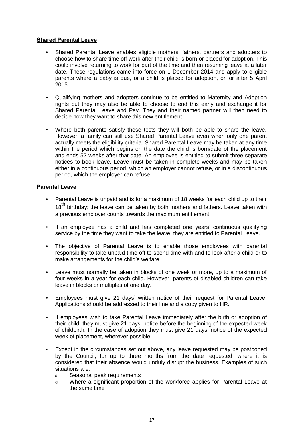## **Shared Parental Leave**

- Shared Parental Leave enables eligible mothers, fathers, partners and adopters to choose how to share time off work after their child is born or placed for adoption. This could involve returning to work for part of the time and then resuming leave at a later date. These regulations came into force on 1 December 2014 and apply to eligible parents where a baby is due, or a child is placed for adoption, on or after 5 April 2015.
- Qualifying mothers and adopters continue to be entitled to Maternity and Adoption rights but they may also be able to choose to end this early and exchange it for Shared Parental Leave and Pay. They and their named partner will then need to decide how they want to share this new entitlement.
- Where both parents satisfy these tests they will both be able to share the leave. However, a family can still use Shared Parental Leave even when only one parent actually meets the eligibility criteria. Shared Parental Leave may be taken at any time within the period which begins on the date the child is born/date of the placement and ends 52 weeks after that date. An employee is entitled to submit three separate notices to book leave. Leave must be taken in complete weeks and may be taken either in a continuous period, which an employer cannot refuse, or in a discontinuous period, which the employer can refuse.

## **Parental Leave**

- Parental Leave is unpaid and is for a maximum of 18 weeks for each child up to their 18<sup>th</sup> birthdav: the leave can be taken by both mothers and fathers. Leave taken with a previous employer counts towards the maximum entitlement.
- If an employee has a child and has completed one years' continuous qualifying service by the time they want to take the leave, they are entitled to Parental Leave.
- The objective of Parental Leave is to enable those employees with parental responsibility to take unpaid time off to spend time with and to look after a child or to make arrangements for the child's welfare.
- Leave must normally be taken in blocks of one week or more, up to a maximum of four weeks in a year for each child. However, parents of disabled children can take leave in blocks or multiples of one day.
- Employees must give 21 days' written notice of their request for Parental Leave. Applications should be addressed to their line and a copy given to HR.
- If employees wish to take Parental Leave immediately after the birth or adoption of their child, they must give 21 days' notice before the beginning of the expected week of childbirth. In the case of adoption they must give 21 days' notice of the expected week of placement, wherever possible.
- Except in the circumstances set out above, any leave requested may be postponed by the Council, for up to three months from the date requested, where it is considered that their absence would unduly disrupt the business. Examples of such situations are:
	- o Seasonal peak requirements
	- o Where a significant proportion of the workforce applies for Parental Leave at the same time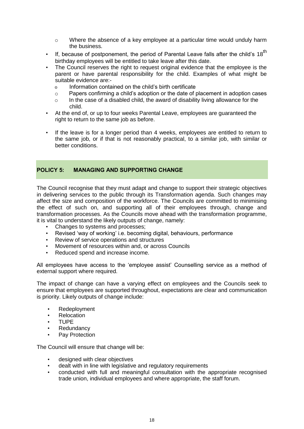- $\circ$  Where the absence of a key employee at a particular time would unduly harm the business.
- If, because of postponement, the period of Parental Leave falls after the child's  $18<sup>th</sup>$ birthday employees will be entitled to take leave after this date.
- The Council reserves the right to request original evidence that the employee is the parent or have parental responsibility for the child. Examples of what might be suitable evidence are:
	- o Information contained on the child's birth certificate
	- o Papers confirming a child's adoption or the date of placement in adoption cases
	- o In the case of a disabled child, the award of disability living allowance for the child.
- At the end of, or up to four weeks Parental Leave, employees are guaranteed the right to return to the same job as before.
- If the leave is for a longer period than 4 weeks, employees are entitled to return to the same job, or if that is not reasonably practical, to a similar job, with similar or better conditions.

## **POLICY 5: MANAGING AND SUPPORTING CHANGE**

The Council recognise that they must adapt and change to support their strategic objectives in delivering services to the public through its Transformation agenda. Such changes may affect the size and composition of the workforce. The Councils are committed to minimising the effect of such on, and supporting all of their employees through, change and transformation processes. As the Councils move ahead with the transformation programme, it is vital to understand the likely outputs of change, namely:

- Changes to systems and processes;
- Revised 'way of working' i.e. becoming digital, behaviours, performance
- Review of service operations and structures
- Movement of resources within and, or across Councils
- Reduced spend and increase income.

All employees have access to the 'employee assist' Counselling service as a method of external support where required.

The impact of change can have a varying effect on employees and the Councils seek to ensure that employees are supported throughout, expectations are clear and communication is priority. Likely outputs of change include:

- Redeployment
- **Relocation**
- TUPE
- **Redundancy**
- Pay Protection

The Council will ensure that change will be:

- designed with clear objectives
- dealt with in line with legislative and regulatory requirements
- conducted with full and meaningful consultation with the appropriate recognised trade union, individual employees and where appropriate, the staff forum.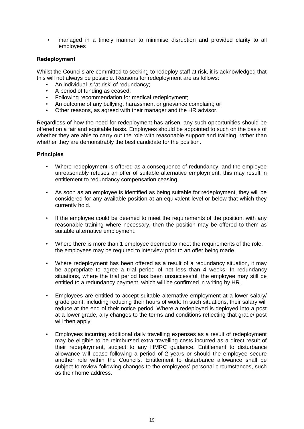• managed in a timely manner to minimise disruption and provided clarity to all employees

## **Redeployment**

Whilst the Councils are committed to seeking to redeploy staff at risk, it is acknowledged that this will not always be possible. Reasons for redeployment are as follows:

- An individual is 'at risk' of redundancy;
- A period of funding as ceased;
- Following recommendation for medical redeployment;
- An outcome of any bullying, harassment or grievance complaint; or
- Other reasons, as agreed with their manager and the HR advisor.

Regardless of how the need for redeployment has arisen, any such opportunities should be offered on a fair and equitable basis. Employees should be appointed to such on the basis of whether they are able to carry out the role with reasonable support and training, rather than whether they are demonstrably the best candidate for the position.

- Where redeployment is offered as a consequence of redundancy, and the employee unreasonably refuses an offer of suitable alternative employment, this may result in entitlement to redundancy compensation ceasing.
- As soon as an employee is identified as being suitable for redeployment, they will be considered for any available position at an equivalent level or below that which they currently hold.
- If the employee could be deemed to meet the requirements of the position, with any reasonable training where necessary, then the position may be offered to them as suitable alternative employment.
- Where there is more than 1 employee deemed to meet the requirements of the role, the employees may be required to interview prior to an offer being made.
- Where redeployment has been offered as a result of a redundancy situation, it may be appropriate to agree a trial period of not less than 4 weeks. In redundancy situations, where the trial period has been unsuccessful, the employee may still be entitled to a redundancy payment, which will be confirmed in writing by HR.
- Employees are entitled to accept suitable alternative employment at a lower salary/ grade point, including reducing their hours of work. In such situations, their salary will reduce at the end of their notice period. Where a redeployed is deployed into a post at a lower grade, any changes to the terms and conditions reflecting that grade/ post will then apply.
- Employees incurring additional daily travelling expenses as a result of redeployment may be eligible to be reimbursed extra travelling costs incurred as a direct result of their redeployment, subject to any HMRC guidance. Entitlement to disturbance allowance will cease following a period of 2 years or should the employee secure another role within the Councils. Entitlement to disturbance allowance shall be subject to review following changes to the employees' personal circumstances, such as their home address.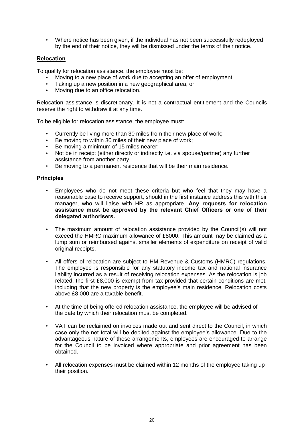• Where notice has been given, if the individual has not been successfully redeployed by the end of their notice, they will be dismissed under the terms of their notice.

## **Relocation**

To qualify for relocation assistance, the employee must be:

- Moving to a new place of work due to accepting an offer of employment;
- Taking up a new position in a new geographical area, or;
- Moving due to an office relocation.

Relocation assistance is discretionary. It is not a contractual entitlement and the Councils reserve the right to withdraw it at any time.

To be eligible for relocation assistance, the employee must:

- Currently be living more than 30 miles from their new place of work;
- Be moving to within 30 miles of their new place of work;
- Be moving a minimum of 15 miles nearer;
- Not be in receipt (either directly or indirectly i.e. via spouse/partner) any further assistance from another party.
- Be moving to a permanent residence that will be their main residence.

- Employees who do not meet these criteria but who feel that they may have a reasonable case to receive support, should in the first instance address this with their manager, who will liaise with HR as appropriate. **Any requests for relocation assistance must be approved by the relevant Chief Officers or one of their delegated authorisers.**
- The maximum amount of relocation assistance provided by the Council(s) will not exceed the HMRC maximum allowance of £8000. This amount may be claimed as a lump sum or reimbursed against smaller elements of expenditure on receipt of valid original receipts.
- All offers of relocation are subject to HM Revenue & Customs (HMRC) regulations. The employee is responsible for any statutory income tax and national insurance liability incurred as a result of receiving relocation expenses. As the relocation is job related, the first £8,000 is exempt from tax provided that certain conditions are met, including that the new property is the employee's main residence. Relocation costs above £8,000 are a taxable benefit.
- At the time of being offered relocation assistance, the employee will be advised of the date by which their relocation must be completed.
- VAT can be reclaimed on invoices made out and sent direct to the Council, in which case only the net total will be debited against the employee's allowance. Due to the advantageous nature of these arrangements, employees are encouraged to arrange for the Council to be invoiced where appropriate and prior agreement has been obtained.
- All relocation expenses must be claimed within 12 months of the employee taking up their position.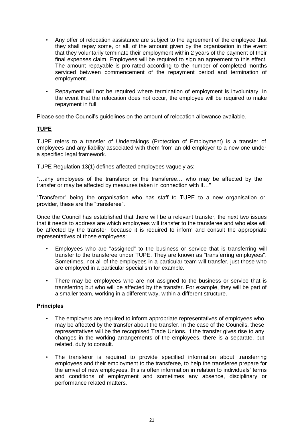- Any offer of relocation assistance are subject to the agreement of the employee that they shall repay some, or all, of the amount given by the organisation in the event that they voluntarily terminate their employment within 2 years of the payment of their final expenses claim. Employees will be required to sign an agreement to this effect. The amount repayable is pro-rated according to the number of completed months serviced between commencement of the repayment period and termination of employment.
- Repayment will not be required where termination of employment is involuntary. In the event that the relocation does not occur, the employee will be required to make repayment in full.

Please see the Council's guidelines on the amount of relocation allowance available.

## **TUPE**

TUPE refers to a transfer of Undertakings (Protection of Employment) is a transfer of employees and any liability associated with them from an old employer to a new one under a specified legal framework.

TUPE Regulation 13(1) defines affected employees vaguely as:

"…any employees of the transferor or the transferee… who may be affected by the transfer or may be affected by measures taken in connection with it…"

"Transferor" being the organisation who has staff to TUPE to a new organisation or provider, these are the "transferee".

Once the Council has established that there will be a relevant transfer, the next two issues that it needs to address are which employees will transfer to the transferee and who else will be affected by the transfer, because it is required to inform and consult the appropriate representatives of those employees:

- Employees who are "assigned" to the business or service that is transferring will transfer to the transferee under TUPE. They are known as "transferring employees". Sometimes, not all of the employees in a particular team will transfer, just those who are employed in a particular specialism for example.
- There may be employees who are not assigned to the business or service that is transferring but who will be affected by the transfer. For example, they will be part of a smaller team, working in a different way, within a different structure.

- The employers are required to inform appropriate representatives of employees who may be affected by the transfer about the transfer. In the case of the Councils, these representatives will be the recognised Trade Unions. If the transfer gives rise to any changes in the working arrangements of the employees, there is a separate, but related, duty to consult.
- The transferor is required to provide specified information about transferring employees and their employment to the transferee, to help the transferee prepare for the arrival of new employees, this is often information in relation to individuals' terms and conditions of employment and sometimes any absence, disciplinary or performance related matters.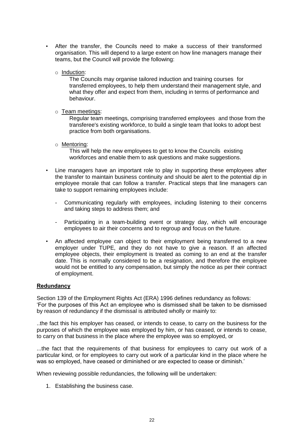- After the transfer, the Councils need to make a success of their transformed organisation. This will depend to a large extent on how line managers manage their teams, but the Council will provide the following:
	- o Induction:

The Councils may organise tailored induction and training courses for transferred employees, to help them understand their management style, and what they offer and expect from them, including in terms of performance and behaviour.

o Team meetings:

Regular team meetings, comprising transferred employees and those from the transferee's existing workforce, to build a single team that looks to adopt best practice from both organisations.

o Mentoring:

This will help the new employees to get to know the Councils existing workforces and enable them to ask questions and make suggestions.

- Line managers have an important role to play in supporting these employees after the transfer to maintain business continuity and should be alert to the potential dip in employee morale that can follow a transfer. Practical steps that line managers can take to support remaining employees include:
	- Communicating regularly with employees, including listening to their concerns and taking steps to address them; and
	- Participating in a team-building event or strategy day, which will encourage employees to air their concerns and to regroup and focus on the future.
- An affected employee can object to their employment being transferred to a new employer under TUPE, and they do not have to give a reason. If an affected employee objects, their employment is treated as coming to an end at the transfer date. This is normally considered to be a resignation, and therefore the employee would not be entitled to any compensation, but simply the notice as per their contract of employment.

## **Redundancy**

Section 139 of the Employment Rights Act (ERA) 1996 defines redundancy as follows: 'For the purposes of this Act an employee who is dismissed shall be taken to be dismissed by reason of redundancy if the dismissal is attributed wholly or mainly to:

..the fact this his employer has ceased, or intends to cease, to carry on the business for the purposes of which the employee was employed by him, or has ceased, or intends to cease, to carry on that business in the place where the employee was so employed, or

...the fact that the requirements of that business for employees to carry out work of a particular kind, or for employees to carry out work of a particular kind in the place where he was so employed, have ceased or diminished or are expected to cease or diminish.'

When reviewing possible redundancies, the following will be undertaken:

1. Establishing the business case.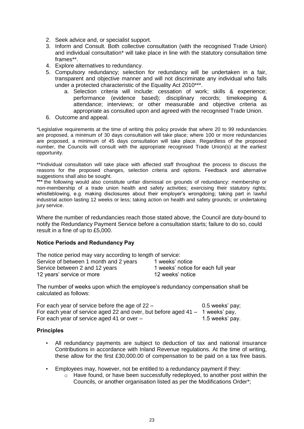- 2. Seek advice and, or specialist support.
- 3. Inform and Consult. Both collective consultation (with the recognised Trade Union) and individual consultation\* will take place in line with the statutory consultation time frames\*\*.
- 4. Explore alternatives to redundancy.
- 5. Compulsory redundancy; selection for redundancy will be undertaken in a fair, transparent and objective manner and will not discriminate any individual who falls under a protected characteristic of the Equality Act 2010\*\*\*.
	- a. Selection criteria will include: cessation of work; skills & experience; performance (evidence based); disciplinary records; timekeeping & attendance; interviews; or other measurable and objective criteria as appropriate as consulted upon and agreed with the recognised Trade Union.
- 6. Outcome and appeal.

\*Legislative requirements at the time of writing this policy provide that where 20 to 99 redundancies are proposed, a minimum of 30 days consultation will take place; where 100 or more redundancies are proposed, a minimum of 45 days consultation will take place. Regardless of the proposed number, the Councils will consult with the appropriate recognised Trade Union(s) at the earliest opportunity.

\*\*Individual consultation will take place with affected staff throughout the process to discuss the reasons for the proposed changes, selection criteria and options. Feedback and alternative suggestions shall also be sought.

**\*\*\*** the following would also constitute unfair dismissal on grounds of redundancy: membership or non-membership of a trade union health and safety activities; exercising their statutory rights; whistleblowing, e.g. making disclosures about their employer's wrongdoing; taking part in lawful industrial action lasting 12 weeks or less; taking action on health and safety grounds; or undertaking jury service.

Where the number of redundancies reach those stated above, the Council are duty-bound to notify the Redundancy Payment Service before a consultation starts; failure to do so, could result in a fine of up to £5,000.

## **Notice Periods and Redundancy Pay**

| The notice period may vary according to length of service: |                                    |  |  |
|------------------------------------------------------------|------------------------------------|--|--|
| Service of between 1 month and 2 years                     | 1 weeks' notice                    |  |  |
| Service between 2 and 12 years                             | 1 weeks' notice for each full year |  |  |
| 12 years' service or more                                  | 12 weeks' notice                   |  |  |

The number of weeks upon which the employee's redundancy compensation shall be calculated as follows:

| For each year of service before the age of $22 -$                             | 0.5 weeks' pay; |
|-------------------------------------------------------------------------------|-----------------|
| For each year of service aged 22 and over, but before aged 41 – 1 weeks' pay, |                 |
| For each year of service aged 41 or over $-$                                  | 1.5 weeks' pay. |

- All redundancy payments are subject to deduction of tax and national insurance Contributions in accordance with Inland Revenue regulations. At the time of writing, these allow for the first £30,000.00 of compensation to be paid on a tax free basis.
- Employees may, however, not be entitled to a redundancy payment if they:
	- o Have found, or have been successfully redeployed, to another post within the Councils, or another organisation listed as per the Modifications Order\*;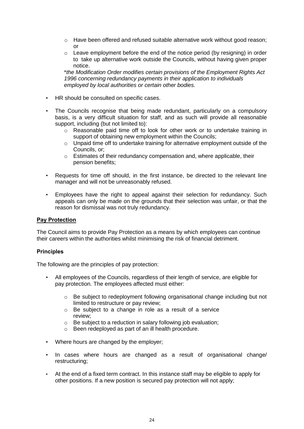- o Have been offered and refused suitable alternative work without good reason; or
- $\circ$  Leave employment before the end of the notice period (by resigning) in order to take up alternative work outside the Councils, without having given proper notice.

\**the Modification Order modifies certain provisions of the Employment Rights Act 1996 concerning redundancy payments in their application to individuals employed by local authorities or certain other bodies.*

- HR should be consulted on specific cases.
- The Councils recognise that being made redundant, particularly on a compulsory basis, is a very difficult situation for staff, and as such will provide all reasonable support, including (but not limited to):
	- $\circ$  Reasonable paid time off to look for other work or to undertake training in support of obtaining new employment within the Councils;
	- $\circ$  Unpaid time off to undertake training for alternative employment outside of the Councils, or;
	- o Estimates of their redundancy compensation and, where applicable, their pension benefits;
- Requests for time off should, in the first instance, be directed to the relevant line manager and will not be unreasonably refused.
- Employees have the right to appeal against their selection for redundancy. Such appeals can only be made on the grounds that their selection was unfair, or that the reason for dismissal was not truly redundancy.

## **Pay Protection**

The Council aims to provide Pay Protection as a means by which employees can continue their careers within the authorities whilst minimising the risk of financial detriment.

#### **Principles**

The following are the principles of pay protection:

- All employees of the Councils, regardless of their length of service, are eligible for pay protection. The employees affected must either:
	- o Be subject to redeployment following organisational change including but not limited to restructure or pay review;
	- o Be subject to a change in role as a result of a service review;
	- o Be subject to a reduction in salary following job evaluation;
	- o Been redeployed as part of an ill health procedure.
- Where hours are changed by the employer;
- In cases where hours are changed as a result of organisational change/ restructuring;
- At the end of a fixed term contract. In this instance staff may be eligible to apply for other positions. If a new position is secured pay protection will not apply;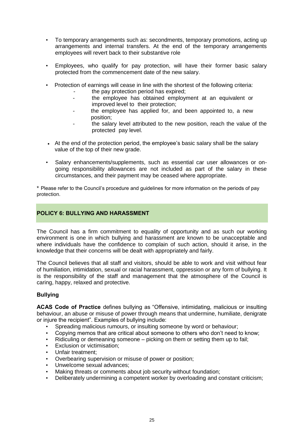- To temporary arrangements such as: secondments, temporary promotions, acting up arrangements and internal transfers. At the end of the temporary arrangements employees will revert back to their substantive role
- Employees, who qualify for pay protection, will have their former basic salary protected from the commencement date of the new salary.
- Protection of earnings will cease in line with the shortest of the following criteria:
	- the pay protection period has expired;
	- the employee has obtained employment at an equivalent or improved level to their protection;
	- the employee has applied for, and been appointed to, a new position;
	- the salary level attributed to the new position, reach the value of the protected pay level.
- At the end of the protection period, the employee's basic salary shall be the salary value of the top of their new grade.
- Salary enhancements/supplements, such as essential car user allowances or ongoing responsibility allowances are not included as part of the salary in these circumstances, and their payment may be ceased where appropriate.

\* Please refer to the Council's procedure and guidelines for more information on the periods of pay protection.

## **POLICY 6: BULLYING AND HARASSMENT**

The Council has a firm commitment to equality of opportunity and as such our working environment is one in which bullying and harassment are known to be unacceptable and where individuals have the confidence to complain of such action, should it arise, in the knowledge that their concerns will be dealt with appropriately and fairly.

The Council believes that all staff and visitors, should be able to work and visit without fear of humiliation, intimidation, sexual or racial harassment, oppression or any form of bullying. It is the responsibility of the staff and management that the atmosphere of the Council is caring, happy, relaxed and protective.

## **Bullying**

**ACAS Code of Practice** defines bullying as "Offensive, intimidating, malicious or insulting behaviour, an abuse or misuse of power through means that undermine, humiliate, denigrate or injure the recipient". Examples of bullying include:

- Spreading malicious rumours, or insulting someone by word or behaviour;
- Copying memos that are critical about someone to others who don't need to know;
- Ridiculing or demeaning someone picking on them or setting them up to fail;
- Exclusion or victimisation;
- Unfair treatment;
- Overbearing supervision or misuse of power or position;
- Unwelcome sexual advances;
- Making threats or comments about job security without foundation:
- Deliberately undermining a competent worker by overloading and constant criticism;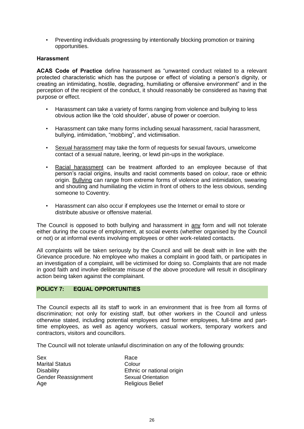• Preventing individuals progressing by intentionally blocking promotion or training opportunities.

## **Harassment**

**ACAS Code of Practice** define harassment as "unwanted conduct related to a relevant protected characteristic which has the purpose or effect of violating a person's dignity, or creating an intimidating, hostile, degrading, humiliating or offensive environment" and in the perception of the recipient of the conduct, it should reasonably be considered as having that purpose or effect.

- Harassment can take a variety of forms ranging from violence and bullying to less obvious action like the 'cold shoulder', abuse of power or coercion.
- Harassment can take many forms including sexual harassment, racial harassment, bullying, intimidation, "mobbing", and victimisation.
- Sexual harassment may take the form of requests for sexual favours, unwelcome contact of a sexual nature, leering, or lewd pin-ups in the workplace.
- Racial harassment can be treatment afforded to an employee because of that person's racial origins, insults and racist comments based on colour, race or ethnic origin. Bullying can range from extreme forms of violence and intimidation, swearing and shouting and humiliating the victim in front of others to the less obvious, sending someone to Coventry.
- Harassment can also occur if employees use the Internet or email to store or distribute abusive or offensive material.

The Council is opposed to both bullying and harassment in any form and will not tolerate either during the course of employment, at social events (whether organised by the Council or not) or at informal events involving employees or other work-related contacts.

All complaints will be taken seriously by the Council and will be dealt with in line with the Grievance procedure. No employee who makes a complaint in good faith, or participates in an investigation of a complaint, will be victimised for doing so. Complaints that are not made in good faith and involve deliberate misuse of the above procedure will result in disciplinary action being taken against the complainant.

## **POLICY 7: EQUAL OPPORTUNITIES**

The Council expects all its staff to work in an environment that is free from all forms of discrimination; not only for existing staff, but other workers in the Council and unless otherwise stated, including potential employees and former employees, full-time and parttime employees, as well as agency workers, casual workers, temporary workers and contractors, visitors and councillors.

The Council will not tolerate unlawful discrimination on any of the following grounds:

Sex Race Marital Status **Colour** Gender Reassignment Sexual Orientation Age Religious Belief

Disability Ethnic or national origin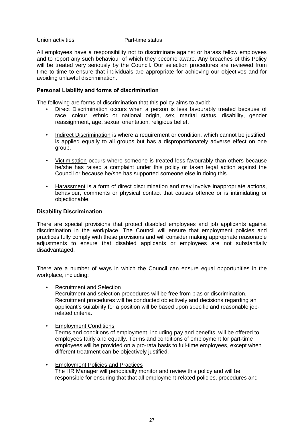#### Union activities **Part-time status**

All employees have a responsibility not to discriminate against or harass fellow employees and to report any such behaviour of which they become aware. Any breaches of this Policy will be treated very seriously by the Council. Our selection procedures are reviewed from time to time to ensure that individuals are appropriate for achieving our objectives and for avoiding unlawful discrimination.

### **Personal Liability and forms of discrimination**

The following are forms of discrimination that this policy aims to avoid:-

- Direct Discrimination occurs when a person is less favourably treated because of race, colour, ethnic or national origin, sex, marital status, disability, gender reassignment, age, sexual orientation, religious belief.
- Indirect Discrimination is where a requirement or condition, which cannot be justified, is applied equally to all groups but has a disproportionately adverse effect on one group.
- Victimisation occurs where someone is treated less favourably than others because he/she has raised a complaint under this policy or taken legal action against the Council or because he/she has supported someone else in doing this.
- Harassment is a form of direct discrimination and may involve inappropriate actions, behaviour, comments or physical contact that causes offence or is intimidating or objectionable.

#### **Disability Discrimination**

There are special provisions that protect disabled employees and job applicants against discrimination in the workplace. The Council will ensure that employment policies and practices fully comply with these provisions and will consider making appropriate reasonable adjustments to ensure that disabled applicants or employees are not substantially disadvantaged.

There are a number of ways in which the Council can ensure equal opportunities in the workplace, including:

• Recruitment and Selection

Recruitment and selection procedures will be free from bias or discrimination. Recruitment procedures will be conducted objectively and decisions regarding an applicant's suitability for a position will be based upon specific and reasonable jobrelated criteria.

**Employment Conditions** 

Terms and conditions of employment, including pay and benefits, will be offered to employees fairly and equally. Terms and conditions of employment for part-time employees will be provided on a pro-rata basis to full-time employees, except when different treatment can be objectively justified.

• Employment Policies and Practices The HR Manager will periodically monitor and review this policy and will be responsible for ensuring that that all employment-related policies, procedures and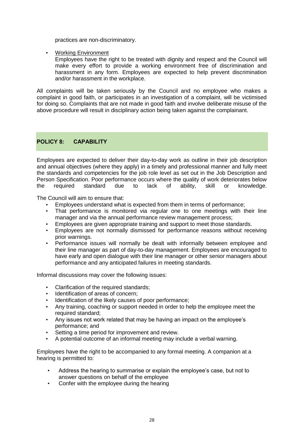practices are non-discriminatory.

• Working Environment

Employees have the right to be treated with dignity and respect and the Council will make every effort to provide a working environment free of discrimination and harassment in any form. Employees are expected to help prevent discrimination and/or harassment in the workplace.

All complaints will be taken seriously by the Council and no employee who makes a complaint in good faith, or participates in an investigation of a complaint, will be victimised for doing so. Complaints that are not made in good faith and involve deliberate misuse of the above procedure will result in disciplinary action being taken against the complainant.

## **POLICY 8: CAPABILITY**

Employees are expected to deliver their day-to-day work as outline in their job description and annual objectives (where they apply) in a timely and professional manner and fully meet the standards and competencies for the job role level as set out in the Job Description and Person Specification. Poor performance occurs where the quality of work deteriorates below the required standard due to lack of ability, skill or knowledge.

The Council will aim to ensure that:

- Employees understand what is expected from them in terms of performance;<br>• That performance is monitored via reqular one to one meetings with the
- That performance is monitored via regular one to one meetings with their line manager and via the annual performance review management process;
- Employees are given appropriate training and support to meet those standards.
- Employees are not normally dismissed for performance reasons without receiving prior warnings.
- Performance issues will normally be dealt with informally between employee and their line manager as part of day-to-day management. Employees are encouraged to have early and open dialogue with their line manager or other senior managers about performance and any anticipated failures in meeting standards.

Informal discussions may cover the following issues:

- Clarification of the required standards;
- Identification of areas of concern:
- Identification of the likely causes of poor performance;<br>• Any training, coaching or support needed in order to he
- Any training, coaching or support needed in order to help the employee meet the required standard;
- Any issues not work related that may be having an impact on the employee's performance; and
- Setting a time period for improvement and review.
- A potential outcome of an informal meeting may include a verbal warning.

Employees have the right to be accompanied to any formal meeting. A companion at a hearing is permitted to:

- Address the hearing to summarise or explain the employee's case, but not to answer questions on behalf of the employee
- Confer with the employee during the hearing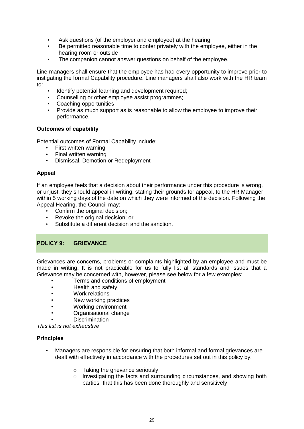- Ask questions (of the employer and employee) at the hearing
- Be permitted reasonable time to confer privately with the employee, either in the hearing room or outside
- The companion cannot answer questions on behalf of the employee.

Line managers shall ensure that the employee has had every opportunity to improve prior to instigating the formal Capability procedure. Line managers shall also work with the HR team to:

- Identify potential learning and development required;
- Counselling or other employee assist programmes;
- Coaching opportunities
- Provide as much support as is reasonable to allow the employee to improve their performance.

## **Outcomes of capability**

Potential outcomes of Formal Capability include:

- First written warning
- Final written warning
- Dismissal, Demotion or Redeployment

## **Appeal**

If an employee feels that a decision about their performance under this procedure is wrong, or unjust, they should appeal in writing, stating their grounds for appeal, to the HR Manager within 5 working days of the date on which they were informed of the decision. Following the Appeal Hearing, the Council may:

- Confirm the original decision;
- Revoke the original decision; or
- Substitute a different decision and the sanction.

## **POLICY 9: GRIEVANCE**

Grievances are concerns, problems or complaints highlighted by an employee and must be made in writing. It is not practicable for us to fully list all standards and issues that a Grievance may be concerned with, however, please see below for a few examples:

- Terms and conditions of employment
- Health and safety
- Work relations
- New working practices
- Working environment
- Organisational change
- Discrimination

*This list is not exhaustive*

- Managers are responsible for ensuring that both informal and formal grievances are dealt with effectively in accordance with the procedures set out in this policy by:
	- o Taking the grievance seriously
	- o Investigating the facts and surrounding circumstances, and showing both parties that this has been done thoroughly and sensitively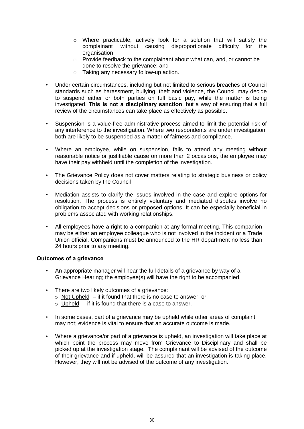- o Where practicable, actively look for a solution that will satisfy the complainant without causing disproportionate difficulty for the organisation
- o Provide feedback to the complainant about what can, and, or cannot be done to resolve the grievance; and
- o Taking any necessary follow-up action.
- Under certain circumstances, including but not limited to serious breaches of Council standards such as harassment, bullying, theft and violence, the Council may decide to suspend either or both parties on full basic pay, while the matter is being investigated. **This is not a disciplinary sanction**, but a way of ensuring that a full review of the circumstances can take place as effectively as possible.
- Suspension is a value-free administrative process aimed to limit the potential risk of any interference to the investigation. Where two respondents are under investigation, both are likely to be suspended as a matter of fairness and compliance.
- Where an employee, while on suspension, fails to attend any meeting without reasonable notice or justifiable cause on more than 2 occasions, the employee may have their pay withheld until the completion of the investigation.
- The Grievance Policy does not cover matters relating to strategic business or policy decisions taken by the Council
- Mediation assists to clarify the issues involved in the case and explore options for resolution. The process is entirely voluntary and mediated disputes involve no obligation to accept decisions or proposed options. It can be especially beneficial in problems associated with working relationships.
- All employees have a right to a companion at any formal meeting. This companion may be either an employee colleague who is not involved in the incident or a Trade Union official. Companions must be announced to the HR department no less than 24 hours prior to any meeting.

## **Outcomes of a grievance**

- An appropriate manager will hear the full details of a grievance by way of a Grievance Hearing; the employee(s) will have the right to be accompanied.
- There are two likely outcomes of a grievance:
	- $\circ$  Not Upheld if it found that there is no case to answer; or
	- $\circ$  Upheld if it is found that there is a case to answer.
- In some cases, part of a grievance may be upheld while other areas of complaint may not; evidence is vital to ensure that an accurate outcome is made.
- Where a grievance/or part of a grievance is upheld, an investigation will take place at which point the process may move from Grievance to Disciplinary and shall be picked up at the investigation stage. The complainant will be advised of the outcome of their grievance and if upheld, will be assured that an investigation is taking place. However, they will not be advised of the outcome of any investigation.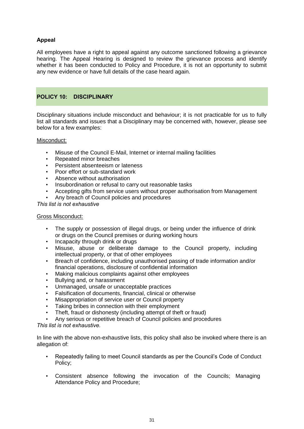## **Appeal**

All employees have a right to appeal against any outcome sanctioned following a grievance hearing. The Appeal Hearing is designed to review the grievance process and identify whether it has been conducted to Policy and Procedure, it is not an opportunity to submit any new evidence or have full details of the case heard again.

## **POLICY 10: DISCIPLINARY**

Disciplinary situations include misconduct and behaviour; it is not practicable for us to fully list all standards and issues that a Disciplinary may be concerned with, however, please see below for a few examples:

## Misconduct:

- Misuse of the Council E-Mail, Internet or internal mailing facilities
- Repeated minor breaches
- Persistent absenteeism or lateness
- Poor effort or sub-standard work
- Absence without authorisation
- Insubordination or refusal to carry out reasonable tasks
- Accepting gifts from service users without proper authorisation from Management
- Any breach of Council policies and procedures

*This list is not exhaustive*

## Gross Misconduct:

- The supply or possession of illegal drugs, or being under the influence of drink or drugs on the Council premises or during working hours
- Incapacity through drink or drugs
- Misuse, abuse or deliberate damage to the Council property, including intellectual property, or that of other employees
- Breach of confidence, including unauthorised passing of trade information and/or financial operations, disclosure of confidential information
- Making malicious complaints against other employees
- Bullying and, or harassment
- Unmanaged, unsafe or unacceptable practices
- Falsification of documents, financial, clinical or otherwise
- Misappropriation of service user or Council property
- Taking bribes in connection with their employment
- Theft, fraud or dishonesty (including attempt of theft or fraud)
- Any serious or repetitive breach of Council policies and procedures

#### *This list is not exhaustive.*

In line with the above non-exhaustive lists, this policy shall also be invoked where there is an allegation of:

- Repeatedly failing to meet Council standards as per the Council's Code of Conduct Policy;
- Consistent absence following the invocation of the Councils; Managing Attendance Policy and Procedure;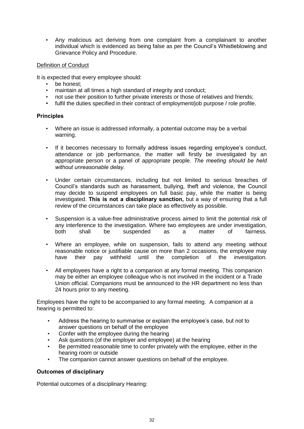• Any malicious act deriving from one complaint from a complainant to another individual which is evidenced as being false as per the Council's Whistleblowing and Grievance Policy and Procedure.

## Definition of Conduct

It is expected that every employee should:

- be honest:
- maintain at all times a high standard of integrity and conduct;
- not use their position to further private interests or those of relatives and friends;
- fulfil the duties specified in their contract of employment/job purpose / role profile.

#### **Principles**

- Where an issue is addressed informally, a potential outcome may be a verbal warning.
- If it becomes necessary to formally address issues regarding employee's conduct, attendance or job performance, the matter will firstly be investigated by an appropriate person or a panel of appropriate people. *The meeting should be held without unreasonable delay.*
- Under certain circumstances, including but not limited to serious breaches of Council's standards such as harassment, bullying, theft and violence, the Council may decide to suspend employees on full basic pay, while the matter is being investigated. **This is not a disciplinary sanction,** but a way of ensuring that a full review of the circumstances can take place as effectively as possible.
- Suspension is a value-free administrative process aimed to limit the potential risk of any interference to the investigation. Where two employees are under investigation, both shall be suspended as a matter of fairness.
- Where an employee, while on suspension, fails to attend any meeting without reasonable notice or justifiable cause on more than 2 occasions, the employee may have their pay withheld until the completion of the investigation.
- All employees have a right to a companion at any formal meeting. This companion may be either an employee colleague who is not involved in the incident or a Trade Union official. Companions must be announced to the HR department no less than 24 hours prior to any meeting.

Employees have the right to be accompanied to any formal meeting. A companion at a hearing is permitted to:

- Address the hearing to summarise or explain the employee's case, but not to answer questions on behalf of the employee
- Confer with the employee during the hearing
- Ask questions (of the employer and employee) at the hearing
- Be permitted reasonable time to confer privately with the employee, either in the hearing room or outside
- The companion cannot answer questions on behalf of the employee.

## **Outcomes of disciplinary**

Potential outcomes of a disciplinary Hearing: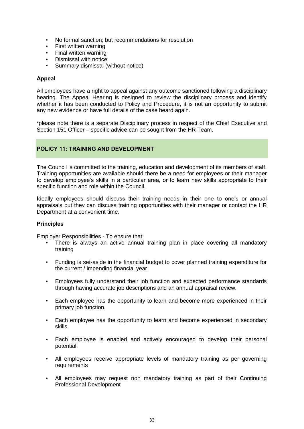- No formal sanction; but recommendations for resolution
- First written warning
- Final written warning
- Dismissal with notice
- Summary dismissal (without notice)

## **Appeal**

All employees have a right to appeal against any outcome sanctioned following a disciplinary hearing. The Appeal Hearing is designed to review the disciplinary process and identify whether it has been conducted to Policy and Procedure, it is not an opportunity to submit any new evidence or have full details of the case heard again.

\*please note there is a separate Disciplinary process in respect of the Chief Executive and Section 151 Officer – specific advice can be sought from the HR Team.

## **POLICY 11: TRAINING AND DEVELOPMENT**

The Council is committed to the training, education and development of its members of staff. Training opportunities are available should there be a need for employees or their manager to develop employee's skills in a particular area, or to learn new skills appropriate to their specific function and role within the Council.

Ideally employees should discuss their training needs in their one to one's or annual appraisals but they can discuss training opportunities with their manager or contact the HR Department at a convenient time.

#### **Principles**

Employer Responsibilities - To ensure that:

- There is always an active annual training plan in place covering all mandatory training
- Funding is set-aside in the financial budget to cover planned training expenditure for the current / impending financial year.
- Employees fully understand their job function and expected performance standards through having accurate job descriptions and an annual appraisal review.
- Each employee has the opportunity to learn and become more experienced in their primary job function.
- Each employee has the opportunity to learn and become experienced in secondary skills.
- Each employee is enabled and actively encouraged to develop their personal potential.
- All employees receive appropriate levels of mandatory training as per governing requirements
- All employees may request non mandatory training as part of their Continuing Professional Development